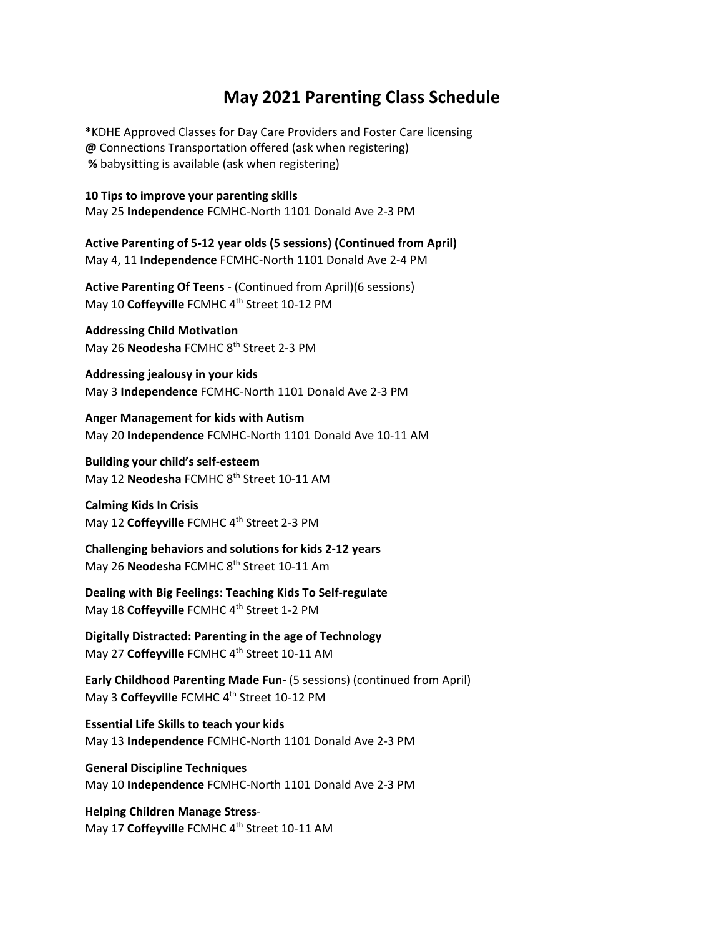## **May 2021 Parenting Class Schedule**

**\***KDHE Approved Classes for Day Care Providers and Foster Care licensing **@** Connections Transportation offered (ask when registering) **%** babysitting is available (ask when registering)

**10 Tips to improve your parenting skills** May 25 **Independence** FCMHC‐North 1101 Donald Ave 2‐3 PM

**Active Parenting of 5‐12 year olds (5 sessions) (Continued from April)** May 4, 11 **Independence** FCMHC‐North 1101 Donald Ave 2‐4 PM

**Active Parenting Of Teens** ‐ (Continued from April)(6 sessions) May 10 Coffeyville FCMHC 4<sup>th</sup> Street 10-12 PM

**Addressing Child Motivation** May 26 **Neodesha** FCMHC 8th Street 2‐3 PM

**Addressing jealousy in your kids** May 3 **Independence** FCMHC‐North 1101 Donald Ave 2‐3 PM

**Anger Management for kids with Autism** May 20 **Independence** FCMHC‐North 1101 Donald Ave 10‐11 AM

**Building your child's self‐esteem** May 12 **Neodesha** FCMHC 8<sup>th</sup> Street 10-11 AM

**Calming Kids In Crisis** May 12 Coffeyville FCMHC 4<sup>th</sup> Street 2-3 PM

**Challenging behaviors and solutions for kids 2‐12 years** May 26 **Neodesha** FCMHC 8th Street 10‐11 Am

**Dealing with Big Feelings: Teaching Kids To Self‐regulate** May 18 Coffeyville FCMHC 4<sup>th</sup> Street 1-2 PM

**Digitally Distracted: Parenting in the age of Technology** May 27 Coffeyville FCMHC 4<sup>th</sup> Street 10-11 AM

**Early Childhood Parenting Made Fun‐** (5 sessions) (continued from April) May 3 **Coffeyville** FCMHC 4th Street 10‐12 PM

**Essential Life Skills to teach your kids** May 13 **Independence** FCMHC‐North 1101 Donald Ave 2‐3 PM

**General Discipline Techniques** May 10 **Independence** FCMHC‐North 1101 Donald Ave 2‐3 PM

**Helping Children Manage Stress**‐ May 17 Coffeyville FCMHC 4<sup>th</sup> Street 10-11 AM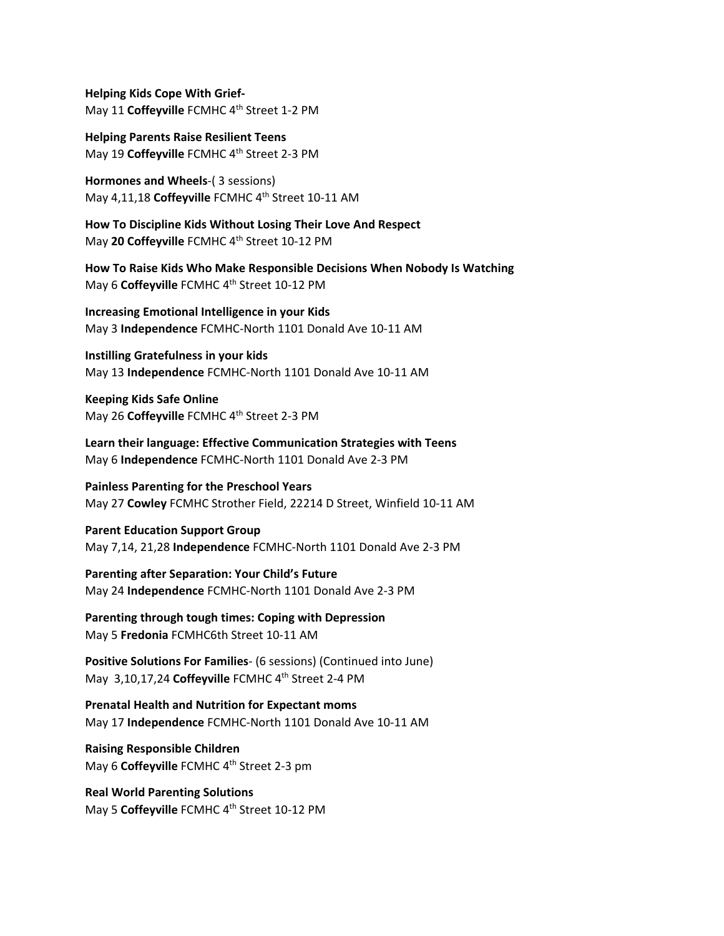**Helping Kids Cope With Grief‐** May 11 Coffeyville FCMHC 4<sup>th</sup> Street 1-2 PM

**Helping Parents Raise Resilient Teens** May 19 Coffeyville FCMHC 4<sup>th</sup> Street 2-3 PM

**Hormones and Wheels**‐( 3 sessions) May 4,11,18 Coffeyville FCMHC 4<sup>th</sup> Street 10-11 AM

**How To Discipline Kids Without Losing Their Love And Respect** May **20 Coffeyville** FCMHC 4th Street 10‐12 PM

**How To Raise Kids Who Make Responsible Decisions When Nobody Is Watching** May 6 Coffeyville FCMHC 4<sup>th</sup> Street 10-12 PM

**Increasing Emotional Intelligence in your Kids** May 3 **Independence** FCMHC‐North 1101 Donald Ave 10‐11 AM

**Instilling Gratefulness in your kids** May 13 **Independence** FCMHC‐North 1101 Donald Ave 10‐11 AM

**Keeping Kids Safe Online** May 26 Coffeyville FCMHC 4<sup>th</sup> Street 2-3 PM

**Learn their language: Effective Communication Strategies with Teens** May 6 **Independence** FCMHC‐North 1101 Donald Ave 2‐3 PM

**Painless Parenting for the Preschool Years** May 27 **Cowley** FCMHC Strother Field, 22214 D Street, Winfield 10‐11 AM

**Parent Education Support Group** May 7,14, 21,28 **Independence** FCMHC‐North 1101 Donald Ave 2‐3 PM

**Parenting after Separation: Your Child's Future** May 24 **Independence** FCMHC‐North 1101 Donald Ave 2‐3 PM

**Parenting through tough times: Coping with Depression** May 5 **Fredonia** FCMHC6th Street 10‐11 AM

**Positive Solutions For Families**‐ (6 sessions) (Continued into June) May 3,10,17,24 Coffeyville FCMHC 4<sup>th</sup> Street 2-4 PM

**Prenatal Health and Nutrition for Expectant moms** May 17 **Independence** FCMHC‐North 1101 Donald Ave 10‐11 AM

**Raising Responsible Children** May 6 **Coffeyville** FCMHC 4<sup>th</sup> Street 2-3 pm

**Real World Parenting Solutions** May 5 **Coffeyville** FCMHC 4th Street 10‐12 PM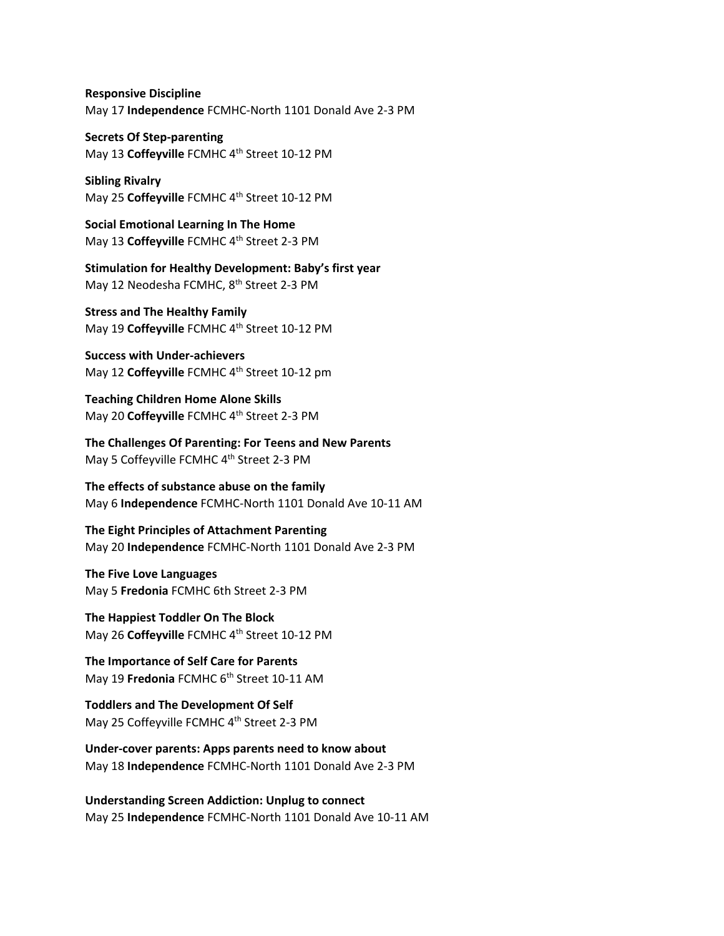**Responsive Discipline** May 17 **Independence** FCMHC‐North 1101 Donald Ave 2‐3 PM

**Secrets Of Step‐parenting** May 13 Coffeyville FCMHC 4<sup>th</sup> Street 10-12 PM

**Sibling Rivalry** May 25 Coffeyville FCMHC 4<sup>th</sup> Street 10-12 PM

**Social Emotional Learning In The Home** May 13 Coffeyville FCMHC 4<sup>th</sup> Street 2-3 PM

**Stimulation for Healthy Development: Baby's first year** May 12 Neodesha FCMHC, 8<sup>th</sup> Street 2-3 PM

**Stress and The Healthy Family** May 19 Coffeyville FCMHC 4<sup>th</sup> Street 10-12 PM

**Success with Under‐achievers** May 12 **Coffeyville** FCMHC 4th Street 10‐12 pm

**Teaching Children Home Alone Skills** May 20 Coffeyville FCMHC 4<sup>th</sup> Street 2-3 PM

**The Challenges Of Parenting: For Teens and New Parents** May 5 Coffeyville FCMHC 4<sup>th</sup> Street 2-3 PM

**The effects of substance abuse on the family** May 6 **Independence** FCMHC‐North 1101 Donald Ave 10‐11 AM

**The Eight Principles of Attachment Parenting** May 20 **Independence** FCMHC‐North 1101 Donald Ave 2‐3 PM

**The Five Love Languages** May 5 **Fredonia** FCMHC 6th Street 2‐3 PM

**The Happiest Toddler On The Block** May 26 Coffeyville FCMHC 4<sup>th</sup> Street 10-12 PM

**The Importance of Self Care for Parents** May 19 **Fredonia** FCMHC 6<sup>th</sup> Street 10-11 AM

**Toddlers and The Development Of Self** May 25 Coffeyville FCMHC 4<sup>th</sup> Street 2-3 PM

**Under‐cover parents: Apps parents need to know about** May 18 **Independence** FCMHC‐North 1101 Donald Ave 2‐3 PM

**Understanding Screen Addiction: Unplug to connect** May 25 **Independence** FCMHC‐North 1101 Donald Ave 10‐11 AM